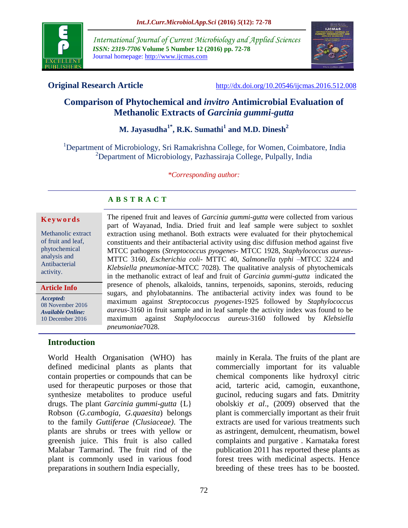

*International Journal of Current Microbiology and Applied Sciences ISSN: 2319-7706* **Volume 5 Number 12 (2016) pp. 72-78** Journal homepage: http://www.ijcmas.com



**Original Research Article** <http://dx.doi.org/10.20546/ijcmas.2016.512.008>

# **Comparison of Phytochemical and** *invitro* **Antimicrobial Evaluation of Methanolic Extracts of** *Garcinia gummi-gutta*

# **M. Jayasudha1\* , R.K. Sumathi<sup>1</sup> and M.D. Dinesh<sup>2</sup>**

<sup>1</sup>Department of Microbiology, Sri Ramakrishna College, for Women, Coimbatore, India <sup>2</sup>Department of Microbiology, Pazhassiraja College, Pulpally, India

*\*Corresponding author:*

## **A B S T R A C T**

#### **K e y w o r d s**

Methanolic extract of fruit and leaf, phytochemical analysis and Antibacterial activity.

**Article Info**

*Accepted:*  08 November 2016 *Available Online:* 10 December 2016

The ripened fruit and leaves of *Garcinia gummi-gutta* were collected from various part of Wayanad, India. Dried fruit and leaf sample were subject to soxhlet extraction using methanol. Both extracts were evaluated for their phytochemical constituents and their antibacterial activity using disc diffusion method against five MTCC pathogens (*Streptococcus pyogenes*- MTCC 1928, *Staphylococcus aureus*-MTTC 3160, *Escherichia coli*- MTTC 40, *Salmonella typhi* –MTCC 3224 and *Klebsiella pneumoniae-*MTCC 7028). The qualitative analysis of phytochemicals in the methanolic extract of leaf and fruit of *Garcinia gummi-gutta* indicated the presence of phenols, alkaloids, tannins, terpenoids, saponins, steroids, reducing sugars, and phylobatannins. The antibacterial activity index was found to be maximum against *Streptococcus pyogenes-*1925 followed by *Staphylococcus aureus-*3160 in fruit sample and in leaf sample the activity index was found to be maximum against *Staphylococcus aureus-*3160 followed by *Klebsiella pneumoniae*7028.

## **Introduction**

World Health Organisation (WHO) has defined medicinal plants as plants that contain properties or compounds that can be used for therapeutic purposes or those that synthesize metabolites to produce useful drugs. The plant *Garcinia gummi-gutta* {L} Robson (*G.cambogia, G.quaesita*) belongs to the family *Guttiferae (Clusiaceae)*. The plants are shrubs or trees with yellow or greenish juice. This fruit is also called Malabar Tarmarind. The fruit rind of the plant is commonly used in various food preparations in southern India especially,

mainly in Kerala. The fruits of the plant are commercially important for its valuable chemical components like hydroxyl citric acid, tarteric acid, camogin, euxanthone, gucinol, reducing sugars and fats. Dmitrity obolskiy *et al*., (2009) observed that the plant is commercially important as their fruit extracts are used for various treatments such as astringent, demulcent, rheumatism, bowel complaints and purgative . Karnataka forest publication 2011 has reported these plants as forest trees with medicinal aspects. Hence breeding of these trees has to be boosted.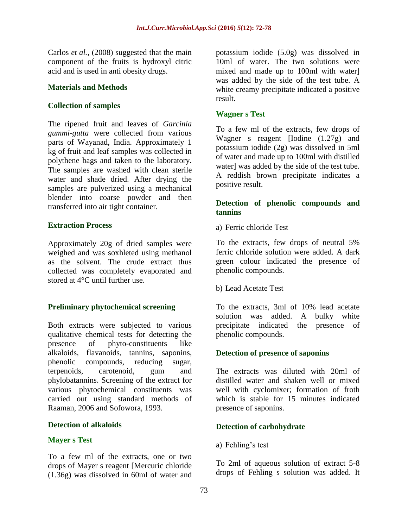Carlos *et al.,* (2008) suggested that the main component of the fruits is hydroxyl citric acid and is used in anti obesity drugs.

#### **Materials and Methods**

## **Collection of samples**

The ripened fruit and leaves of *Garcinia gummi-gutta* were collected from various parts of Wayanad, India. Approximately 1 kg of fruit and leaf samples was collected in polythene bags and taken to the laboratory. The samples are washed with clean sterile water and shade dried. After drying the samples are pulverized using a mechanical blender into coarse powder and then transferred into air tight container.

## **Extraction Process**

Approximately 20g of dried samples were weighed and was soxhleted using methanol as the solvent. The crude extract thus collected was completely evaporated and stored at 4°C until further use.

## **Preliminary phytochemical screening**

Both extracts were subjected to various qualitative chemical tests for detecting the presence of phyto-constituents like alkaloids, flavanoids, tannins, saponins, phenolic compounds, reducing sugar, terpenoids, carotenoid, gum and phylobatannins. Screening of the extract for various phytochemical constituents was carried out using standard methods of Raaman, 2006 and Sofowora, 1993.

#### **Detection of alkaloids**

## **Mayer s Test**

To a few ml of the extracts, one or two drops of Mayer s reagent [Mercuric chloride (1.36g) was dissolved in 60ml of water and potassium iodide (5.0g) was dissolved in 10ml of water. The two solutions were mixed and made up to 100ml with water] was added by the side of the test tube. A white creamy precipitate indicated a positive result.

## **Wagner s Test**

To a few ml of the extracts, few drops of Wagner s reagent [Iodine (1.27g) and potassium iodide (2g) was dissolved in 5ml of water and made up to 100ml with distilled water] was added by the side of the test tube. A reddish brown precipitate indicates a positive result.

## **Detection of phenolic compounds and tannins**

a) Ferric chloride Test

To the extracts, few drops of neutral 5% ferric chloride solution were added. A dark green colour indicated the presence of phenolic compounds.

b) Lead Acetate Test

To the extracts, 3ml of 10% lead acetate solution was added. A bulky white precipitate indicated the presence of phenolic compounds.

## **Detection of presence of saponins**

The extracts was diluted with 20ml of distilled water and shaken well or mixed well with cyclomixer; formation of froth which is stable for 15 minutes indicated presence of saponins.

# **Detection of carbohydrate**

a) Fehling's test

To 2ml of aqueous solution of extract 5-8 drops of Fehling s solution was added. It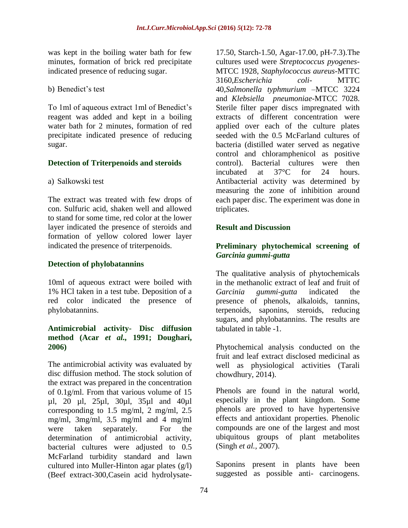was kept in the boiling water bath for few minutes, formation of brick red precipitate indicated presence of reducing sugar.

b) Benedict's test

To 1ml of aqueous extract 1ml of Benedict's reagent was added and kept in a boiling water bath for 2 minutes, formation of red precipitate indicated presence of reducing sugar.

## **Detection of Triterpenoids and steroids**

a) Salkowski test

The extract was treated with few drops of con. Sulfuric acid, shaken well and allowed to stand for some time, red color at the lower layer indicated the presence of steroids and formation of yellow colored lower layer indicated the presence of triterpenoids.

# **Detection of phylobatannins**

10ml of aqueous extract were boiled with 1% HCl taken in a test tube. Deposition of a red color indicated the presence of phylobatannins.

## **Antimicrobial activity- Disc diffusion method (Acar** *et al.,* **1991; Doughari, 2006)**

The antimicrobial activity was evaluated by disc diffusion method. The stock solution of the extract was prepared in the concentration of 0.1g/ml. From that various volume of 15 µl, 20 µl, 25µl, 30µl, 35µl and 40µl corresponding to 1.5 mg/ml, 2 mg/ml, 2.5 mg/ml, 3mg/ml, 3.5 mg/ml and 4 mg/ml were taken separately. For the determination of antimicrobial activity, bacterial cultures were adjusted to 0.5 McFarland turbidity standard and lawn cultured into Muller-Hinton agar plates (g/l) (Beef extract-300,Casein acid hydrolysate17.50, Starch-1.50, Agar-17.00, pH-7.3).The cultures used were *Streptococcus pyogenes*-MTCC 1928, *Staphylococcus aureus*-MTTC 3160,*Escherichia coli*- MTTC 40,*Salmonella typhmurium* –MTCC 3224 and *Klebsiella pneumoniae-*MTCC 7028. Sterile filter paper discs impregnated with extracts of different concentration were applied over each of the culture plates seeded with the 0.5 McFarland cultures of bacteria (distilled water served as negative control and chloramphenicol as positive control). Bacterial cultures were then incubated at 37°C for 24 hours. Antibacterial activity was determined by measuring the zone of inhibition around each paper disc. The experiment was done in triplicates.

# **Result and Discussion**

# **Preliminary phytochemical screening of**  *Garcinia gummi-gutta*

The qualitative analysis of phytochemicals in the methanolic extract of leaf and fruit of *Garcinia gummi-gutta* indicated the presence of phenols, alkaloids, tannins, terpenoids, saponins, steroids, reducing sugars, and phylobatannins. The results are tabulated in table -1.

Phytochemical analysis conducted on the fruit and leaf extract disclosed medicinal as well as physiological activities (Tarali chowdhury, 2014).

Phenols are found in the natural world, especially in the plant kingdom. Some phenols are proved to have hypertensive effects and antioxidant properties. Phenolic compounds are one of the largest and most ubiquitous groups of plant metabolites (Singh *et al.,* 2007).

Saponins present in plants have been suggested as possible anti- carcinogens.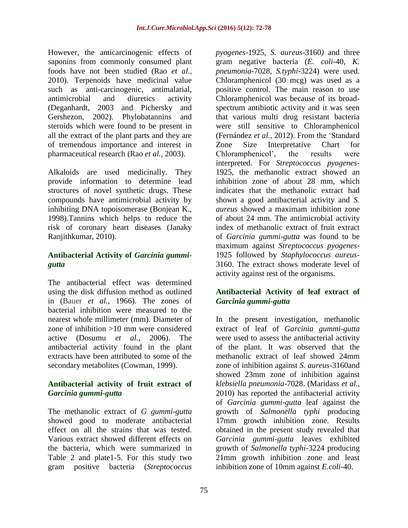However, the anticarcinogenic effects of saponins from commonly consumed plant foods have not been studied (Rao *et al.,* 2010). Terpenoids have medicinal value such as anti-carcinogenic, antimalarial, antimicrobial and diuretics activity (Deganhardt, 2003 and Pichersky and Gershezon, 2002). Phylobatannins and steroids which were found to be present in all the extract of the plant parts and they are of tremendous importance and interest in pharmaceutical research (Rao *et al.,* 2003).

Alkaloids are used medicinally. They provide information to determine lead structures of novel synthetic drugs. These compounds have antimicrobial activity by inhibiting DNA topoisomerase (Bonjean K., 1998).Tannins which helps to reduce the risk of coronary heart diseases (Janaky Ranjithkumar, 2010).

# **Antibacterial Activity of** *Garcinia gummigutta*

The antibacterial effect was determined using the disk diffusion method as outlined in (Bauer *et al.,* 1966). The zones of bacterial inhibition were measured to the nearest whole millimeter (mm). Diameter of zone of inhibition >10 mm were considered active (Dosumu *et al.,* 2006). The antibacterial activity found in the plant extracts have been attributed to some of the secondary metabolites (Cowman, 1999).

## **Antibacterial activity of fruit extract of**  *Garcinia gummi-gutta*

The methanolic extract of *G gummi-gutta* showed good to moderate antibacterial effect on all the strains that was tested. Various extract showed different effects on the bacteria, which were summarized in Table 2 and plate1-5. For this study two gram positive bacteria (*Streptococcus* 

*pyogenes-*1925, *S. aureus-*3160*)* and three gram negative bacteria (*E. coli-*40, *K. pneumonia-*7028*, S.typhi-*3224) were used. Chloramphenicol (30 mcg) was used as a positive control. The main reason to use Chloramphenicol was because of its broadspectrum antibiotic activity and it was seen that various multi drug resistant bacteria were still sensitive to Chloramphenicol (Fernández *et al.,* 2012). From the 'Standard Zone Size Interpretative Chart for Chloramphenicol', the results were interpreted. For *Streptococcus pyogenes-*1925, the methanolic extract showed an inhibition zone of about 28 mm, which indicates that the methanolic extract had shown a good antibacterial activity and *S. aureus* showed a maximam inhibition zone of about 24 mm. The antimicrobial activity index of methanolic extract of fruit extract of *Garcinia gummi-gutta* was found to be maximum against *Streptococcus pyogenes-*1925 followed by *Staphylococcus aureus-*3160. The extract shows moderate level of activity against rest of the organisms.

# **Antibacterial Activity of leaf extract of**  *Garcinia gummi-gutta*

In the present investigation, methanolic extract of leaf of *Garcinia gummi-gutta* were used to assess the antibacterial activity of the plant. It was observed that the methanolic extract of leaf showed 24mm zone of inhibition against *S. aureus-*3160and showed 23mm zone of inhibition against *klebsiella pneumonia-*7028. (Maridass *et al.,* 2010) has reported the antibacterial activity of *Garcinia gummi-gutta* leaf against the growth of *Salmonella typhi* producing 17mm growth inhibition zone. Results obtained in the present study revealed that *Garcinia gummi-gutta* leaves exhibited growth of *Salmonella typhi-*3224 producing 21mm growth inhibition zone and least inhibition zone of 10mm against *E.coli-*40.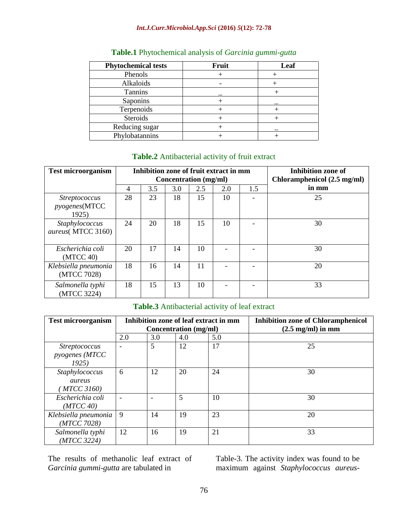#### *Int.J.Curr.Microbiol.App.Sci* **(2016)** *5***(12): 72-78**

| <b>Phytochemical tests</b> | Fruit | Leaf |
|----------------------------|-------|------|
| Phenols                    |       |      |
| Alkaloids                  |       |      |
| <b>Tannins</b>             |       |      |
| Saponins                   |       |      |
| Terpenoids                 |       |      |
| Steroids                   |       |      |
| Reducing sugar             |       |      |
| Phylobatannins             |       |      |

## **Table.1** Phytochemical analysis of *Garcinia gummi-gutta*

#### **Table.2** Antibacterial activity of fruit extract

| <b>Test microorganism</b>                              |    | Inhibition zone of fruit extract in mm |     | Concentration (mg/ml) | Inhibition zone of<br>Chloramphenicol (2.5 mg/ml) |     |       |
|--------------------------------------------------------|----|----------------------------------------|-----|-----------------------|---------------------------------------------------|-----|-------|
|                                                        | 4  | 3.5                                    | 3.0 | 2.5                   | 2.0                                               | 1.5 | in mm |
| <i>Streptococcus</i><br><i>pyogenes</i> (MTCC<br>1925) | 28 | 23                                     | 18  | 15                    | 10                                                |     | 25    |
| Staphylococcus<br>aureus(MTCC 3160)                    | 24 | 20                                     | 18  | 15                    | 10                                                |     | 30    |
| Escherichia coli<br>(MTCC 40)                          | 20 | 17                                     | 14  | 10                    |                                                   |     | 30    |
| Klebsiella pneumonia<br>(MTCC 7028)                    | 18 | 16                                     | 14  | 11                    |                                                   |     | 20    |
| Salmonella typhi<br>(MTCC 3224)                        | 18 | 15                                     | 13  | 10                    |                                                   |     | 33    |

## **Table.3** Antibacterial activity of leaf extract

| <b>Test microorganism</b>                      |     |     |                              | Inhibition zone of leaf extract in mm | <b>Inhibition zone of Chloramphenicol</b> |
|------------------------------------------------|-----|-----|------------------------------|---------------------------------------|-------------------------------------------|
|                                                |     |     | <b>Concentration</b> (mg/ml) |                                       | $(2.5 \text{ mg/ml})$ in mm               |
|                                                | 2.0 | 3.0 | 4.0                          | 5.0                                   |                                           |
| <i>Streptococcus</i><br>pyogenes (MTCC<br>1925 |     | 5   | 12                           | 17                                    | 25                                        |
| Staphylococcus<br>aureus<br><b>MTCC 3160)</b>  | 6   | 12  | 20                           | 24                                    | 30                                        |
| Escherichia coli<br>(MTCC 40)                  |     |     | 5                            | 10                                    | 30                                        |
| Klebsiella pneumonia<br>(MTCC 7028)            | 9   | 14  | 19                           | 23                                    | 20                                        |
| Salmonella typhi<br>(MTCC 3224)                | 12  | 16  | 19                           | 21                                    | 33                                        |

The results of methanolic leaf extract of *Garcinia gummi-gutta* are tabulated in

Table-3. The activity index was found to be maximum against *Staphylococcus aureus-*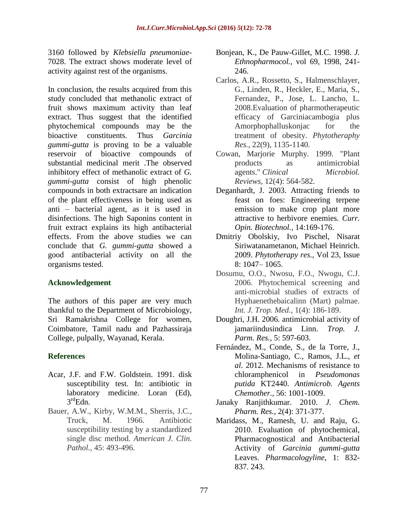3160 followed by *Klebsiella pneumoniae-*7028. The extract shows moderate level of activity against rest of the organisms.

In conclusion, the results acquired from this study concluded that methanolic extract of fruit shows maximum activity than leaf extract. Thus suggest that the identified phytochemical compounds may be the bioactive constituents. Thus *Garcinia gummi-gutta* is proving to be a valuable reservoir of bioactive compounds of substantial medicinal merit .The observed inhibitory effect of methanolic extract of *G. gummi-gutta* consist of high phenolic compounds in both extractsare an indication of the plant effectiveness in being used as anti – bacterial agent, as it is used in disinfections. The high Saponins content in fruit extract explains its high antibacterial effects. From the above studies we can conclude that *G. gummi-gutta* showed a good antibacterial activity on all the organisms tested.

## **Acknowledgement**

The authors of this paper are very much thankful to the Department of Microbiology, Sri Ramakrishna College for women, Coimbatore, Tamil nadu and Pazhassiraja College, pulpally, Wayanad, Kerala.

#### **References**

- Acar, J.F. and F.W. Goldstein. 1991. disk susceptibility test. In: antibiotic in laboratory medicine. Loran (Ed),  $3^{\text{rd}}$ Edn.
- Bauer, A.W., Kirby, W.M.M., Sherris, J.C., Truck, M. 1966. Antibiotic susceptibility testing by a standardized single disc method. *American J. Clin. Pathol.,* 45: 493-496.
- Bonjean, K., De Pauw-Gillet, M.C. 1998. *J. Ethnopharmocol.,* vol 69, 1998, 241- 246.
- Carlos, A.R., Rossetto, S., Halmenschlayer, G., Linden, R., Heckler, E., Maria, S., Fernandez, P., Jose, L. Lancho, L. 2008.Evaluation of pharmotherapeutic efficacy of Garciniacambogia plus Amorphophalluskonjac for the treatment of obesity. *Phytotheraphy Res.,* 22(9), 1135-1140.
- Cowan, Marjorie Murphy. 1999. "Plant products as antimicrobial agents." *Clinical Microbiol. Reviews,* 12(4): 564-582.
- Deganhardt, J. 2003. Attracting friends to feast on foes: Engineering terpene emission to make crop plant more attractive to herbivore enemies. *Curr. Opin. Biotechnol.,* 14:169-176.
- Dmitriy Obolskiy, Ivo Pischel, Nisarat Siriwatanametanon, Michael Heinrich. 2009. *Phytotherapy res.,* Vol 23, Issue 8: 1047– 1065.
- Dosumu, O.O., Nwosu, F.O., Nwogu, C.J. 2006. Phytochemical screening and anti-microbial studies of extracts of Hyphaenethebaicalinn (Mart) palmae. *Int. J. Trop. Med.,* 1(4): 186-189.
- Doughri, J.H. 2006. antimicrobial activity of jamariindusindica Linn. *Trop. J. Parm. Res.,* 5: 597-603.
- Fernández, M., Conde, S., de la Torre, J., Molina-Santiago, C., Ramos, J.L., *et al*. 2012. Mechanisms of resistance to chloramphenicol in *Pseudomonas putida* KT2440. *Antimicrob. Agents Chemother.,* 56: 1001-1009.
- Janaky Ranjithkumar. 2010. *J. Chem. Pharm. Res.,* 2(4): 371-377.
- Maridass, M., Ramesh, U. and Raju, G. 2010. Evaluation of phytochemical, Pharmacognostical and Antibacterial Activity of *Garcinia gummi-gutta* Leaves. *Pharmacologyline*, 1: 832- 837. 243.